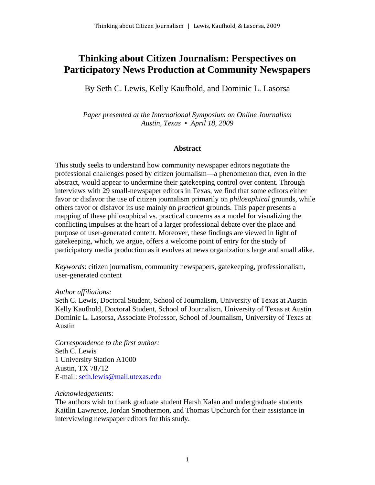# **Thinking about Citizen Journalism: Perspectives on Participatory News Production at Community Newspapers**

By Seth C. Lewis, Kelly Kaufhold, and Dominic L. Lasorsa

*Paper presented at the International Symposium on Online Journalism Austin, Texas • April 18, 2009* 

# **Abstract**

This study seeks to understand how community newspaper editors negotiate the professional challenges posed by citizen journalism—a phenomenon that, even in the abstract, would appear to undermine their gatekeeping control over content. Through interviews with 29 small-newspaper editors in Texas, we find that some editors either favor or disfavor the use of citizen journalism primarily on *philosophical* grounds, while others favor or disfavor its use mainly on *practical* grounds. This paper presents a mapping of these philosophical vs. practical concerns as a model for visualizing the conflicting impulses at the heart of a larger professional debate over the place and purpose of user-generated content. Moreover, these findings are viewed in light of gatekeeping, which, we argue, offers a welcome point of entry for the study of participatory media production as it evolves at news organizations large and small alike.

*Keywords*: citizen journalism, community newspapers, gatekeeping, professionalism, user-generated content

# *Author affiliations:*

Seth C. Lewis, Doctoral Student, School of Journalism, University of Texas at Austin Kelly Kaufhold, Doctoral Student, School of Journalism, University of Texas at Austin Dominic L. Lasorsa, Associate Professor, School of Journalism, University of Texas at Austin

*Correspondence to the first author:*  Seth C. Lewis 1 University Station A1000 Austin, TX 78712 E-mail: seth.lewis@mail.utexas.edu

# *Acknowledgements:*

The authors wish to thank graduate student Harsh Kalan and undergraduate students Kaitlin Lawrence, Jordan Smothermon, and Thomas Upchurch for their assistance in interviewing newspaper editors for this study.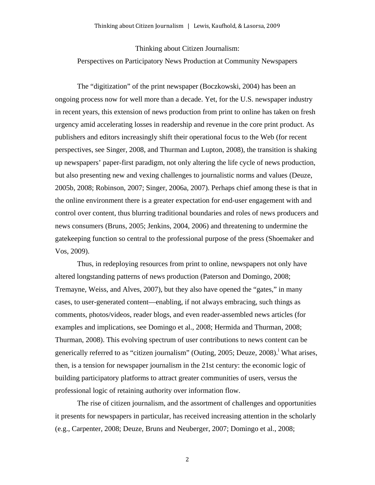Thinking about Citizen Journalism: Perspectives on Participatory News Production at Community Newspapers

The "digitization" of the print newspaper (Boczkowski, 2004) has been an ongoing process now for well more than a decade. Yet, for the U.S. newspaper industry in recent years, this extension of news production from print to online has taken on fresh urgency amid accelerating losses in readership and revenue in the core print product. As publishers and editors increasingly shift their operational focus to the Web (for recent perspectives, see Singer, 2008, and Thurman and Lupton, 2008), the transition is shaking up newspapers' paper-first paradigm, not only altering the life cycle of news production, but also presenting new and vexing challenges to journalistic norms and values (Deuze, 2005b, 2008; Robinson, 2007; Singer, 2006a, 2007). Perhaps chief among these is that in the online environment there is a greater expectation for end-user engagement with and control over content, thus blurring traditional boundaries and roles of news producers and news consumers (Bruns, 2005; Jenkins, 2004, 2006) and threatening to undermine the gatekeeping function so central to the professional purpose of the press (Shoemaker and Vos, 2009).

Thus, in redeploying resources from print to online, newspapers not only have altered longstanding patterns of news production (Paterson and Domingo, 2008; Tremayne, Weiss, and Alves, 2007), but they also have opened the "gates," in many cases, to user-generated content—enabling, if not always embracing, such things as comments, photos/videos, reader blogs, and even reader-assembled news articles (for examples and implications, see Domingo et al., 2008; Hermida and Thurman, 2008; Thurman, 2008). This evolving spectrum of user contributions to news content can be generically referred to as "citizen journalism" (Outing, 2005; Deuze, 2008).<sup>1</sup> What arises, then, is a tension for newspaper journalism in the 21st century: the economic logic of building participatory platforms to attract greater communities of users, versus the professional logic of retaining authority over information flow.

The rise of citizen journalism, and the assortment of challenges and opportunities it presents for newspapers in particular, has received increasing attention in the scholarly (e.g., Carpenter, 2008; Deuze, Bruns and Neuberger, 2007; Domingo et al., 2008;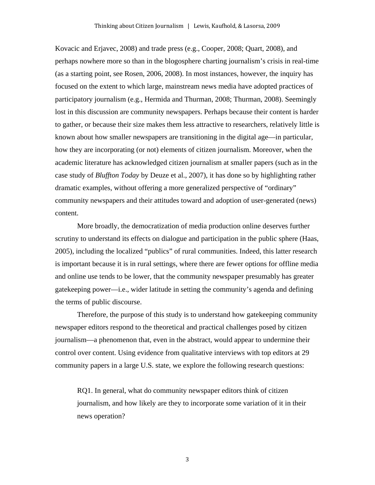Kovacic and Erjavec, 2008) and trade press (e.g., Cooper, 2008; Quart, 2008), and perhaps nowhere more so than in the blogosphere charting journalism's crisis in real-time (as a starting point, see Rosen, 2006, 2008). In most instances, however, the inquiry has focused on the extent to which large, mainstream news media have adopted practices of participatory journalism (e.g., Hermida and Thurman, 2008; Thurman, 2008). Seemingly lost in this discussion are community newspapers. Perhaps because their content is harder to gather, or because their size makes them less attractive to researchers, relatively little is known about how smaller newspapers are transitioning in the digital age—in particular, how they are incorporating (or not) elements of citizen journalism. Moreover, when the academic literature has acknowledged citizen journalism at smaller papers (such as in the case study of *Bluffton Today* by Deuze et al., 2007), it has done so by highlighting rather dramatic examples, without offering a more generalized perspective of "ordinary" community newspapers and their attitudes toward and adoption of user-generated (news) content.

More broadly, the democratization of media production online deserves further scrutiny to understand its effects on dialogue and participation in the public sphere (Haas, 2005), including the localized "publics" of rural communities. Indeed, this latter research is important because it is in rural settings, where there are fewer options for offline media and online use tends to be lower, that the community newspaper presumably has greater gatekeeping power—i.e., wider latitude in setting the community's agenda and defining the terms of public discourse.

Therefore, the purpose of this study is to understand how gatekeeping community newspaper editors respond to the theoretical and practical challenges posed by citizen journalism—a phenomenon that, even in the abstract, would appear to undermine their control over content. Using evidence from qualitative interviews with top editors at 29 community papers in a large U.S. state, we explore the following research questions:

RQ1. In general, what do community newspaper editors think of citizen journalism, and how likely are they to incorporate some variation of it in their news operation?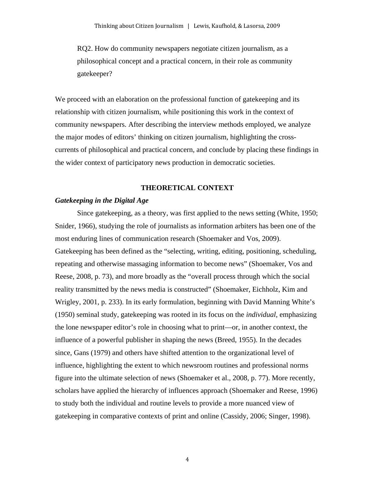RQ2. How do community newspapers negotiate citizen journalism, as a philosophical concept and a practical concern, in their role as community gatekeeper?

We proceed with an elaboration on the professional function of gatekeeping and its relationship with citizen journalism, while positioning this work in the context of community newspapers. After describing the interview methods employed, we analyze the major modes of editors' thinking on citizen journalism, highlighting the crosscurrents of philosophical and practical concern, and conclude by placing these findings in the wider context of participatory news production in democratic societies.

#### **THEORETICAL CONTEXT**

# *Gatekeeping in the Digital Age*

Since gatekeeping, as a theory, was first applied to the news setting (White, 1950; Snider, 1966), studying the role of journalists as information arbiters has been one of the most enduring lines of communication research (Shoemaker and Vos, 2009). Gatekeeping has been defined as the "selecting, writing, editing, positioning, scheduling, repeating and otherwise massaging information to become news" (Shoemaker, Vos and Reese, 2008, p. 73), and more broadly as the "overall process through which the social reality transmitted by the news media is constructed" (Shoemaker, Eichholz, Kim and Wrigley, 2001, p. 233). In its early formulation, beginning with David Manning White's (1950) seminal study, gatekeeping was rooted in its focus on the *individual*, emphasizing the lone newspaper editor's role in choosing what to print—or, in another context, the influence of a powerful publisher in shaping the news (Breed, 1955). In the decades since, Gans (1979) and others have shifted attention to the organizational level of influence, highlighting the extent to which newsroom routines and professional norms figure into the ultimate selection of news (Shoemaker et al., 2008, p. 77). More recently, scholars have applied the hierarchy of influences approach (Shoemaker and Reese, 1996) to study both the individual and routine levels to provide a more nuanced view of gatekeeping in comparative contexts of print and online (Cassidy, 2006; Singer, 1998).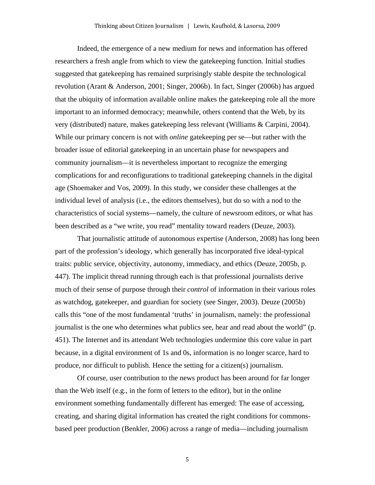Indeed, the emergence of a new medium for news and information has offered researchers a fresh angle from which to view the gatekeeping function. Initial studies suggested that gatekeeping has remained surprisingly stable despite the technological revolution (Arant & Anderson, 2001; Singer, 2006b). In fact, Singer (2006b) has argued that the ubiquity of information available online makes the gatekeeping role all the more important to an informed democracy; meanwhile, others contend that the Web, by its very (distributed) nature, makes gatekeeping less relevant (Williams & Carpini, 2004). While our primary concern is not with *online* gatekeeping per se—but rather with the broader issue of editorial gatekeeping in an uncertain phase for newspapers and community journalism—it is nevertheless important to recognize the emerging complications for and reconfigurations to traditional gatekeeping channels in the digital age (Shoemaker and Vos, 2009). In this study, we consider these challenges at the individual level of analysis (i.e., the editors themselves), but do so with a nod to the characteristics of social systems—namely, the culture of newsroom editors, or what has been described as a "we write, you read" mentality toward readers (Deuze, 2003).

That journalistic attitude of autonomous expertise (Anderson, 2008) has long been part of the profession's ideology, which generally has incorporated five ideal-typical traits: public service, objectivity, autonomy, immediacy, and ethics (Deuze, 2005b, p. 447). The implicit thread running through each is that professional journalists derive much of their sense of purpose through their *control* of information in their various roles as watchdog, gatekeeper, and guardian for society (see Singer, 2003). Deuze (2005b) calls this "one of the most fundamental 'truths' in journalism, namely: the professional journalist is the one who determines what publics see, hear and read about the world" (p. 451). The Internet and its attendant Web technologies undermine this core value in part because, in a digital environment of 1s and 0s, information is no longer scarce, hard to produce, nor difficult to publish. Hence the setting for a citizen(s) journalism.

Of course, user contribution to the news product has been around for far longer than the Web itself (e.g., in the form of letters to the editor), but in the online environment something fundamentally different has emerged: The ease of accessing, creating, and sharing digital information has created the right conditions for commonsbased peer production (Benkler, 2006) across a range of media—including journalism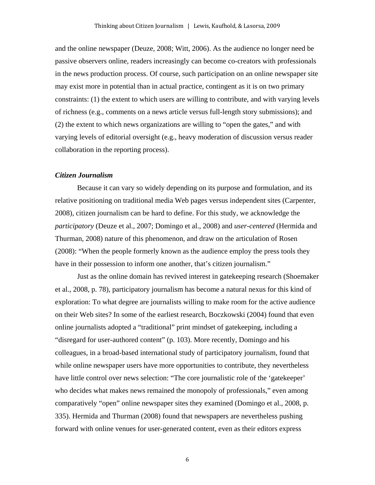and the online newspaper (Deuze, 2008; Witt, 2006). As the audience no longer need be passive observers online, readers increasingly can become co-creators with professionals in the news production process. Of course, such participation on an online newspaper site may exist more in potential than in actual practice, contingent as it is on two primary constraints: (1) the extent to which users are willing to contribute, and with varying levels of richness (e.g., comments on a news article versus full-length story submissions); and (2) the extent to which news organizations are willing to "open the gates," and with varying levels of editorial oversight (e.g., heavy moderation of discussion versus reader collaboration in the reporting process).

#### *Citizen Journalism*

Because it can vary so widely depending on its purpose and formulation, and its relative positioning on traditional media Web pages versus independent sites (Carpenter, 2008), citizen journalism can be hard to define. For this study, we acknowledge the *participatory* (Deuze et al., 2007; Domingo et al., 2008) and *user-centered* (Hermida and Thurman, 2008) nature of this phenomenon, and draw on the articulation of Rosen (2008): "When the people formerly known as the audience employ the press tools they have in their possession to inform one another, that's citizen journalism."

Just as the online domain has revived interest in gatekeeping research (Shoemaker et al., 2008, p. 78), participatory journalism has become a natural nexus for this kind of exploration: To what degree are journalists willing to make room for the active audience on their Web sites? In some of the earliest research, Boczkowski (2004) found that even online journalists adopted a "traditional" print mindset of gatekeeping, including a "disregard for user-authored content" (p. 103). More recently, Domingo and his colleagues, in a broad-based international study of participatory journalism, found that while online newspaper users have more opportunities to contribute, they nevertheless have little control over news selection: "The core journalistic role of the 'gatekeeper' who decides what makes news remained the monopoly of professionals," even among comparatively "open" online newspaper sites they examined (Domingo et al., 2008, p. 335). Hermida and Thurman (2008) found that newspapers are nevertheless pushing forward with online venues for user-generated content, even as their editors express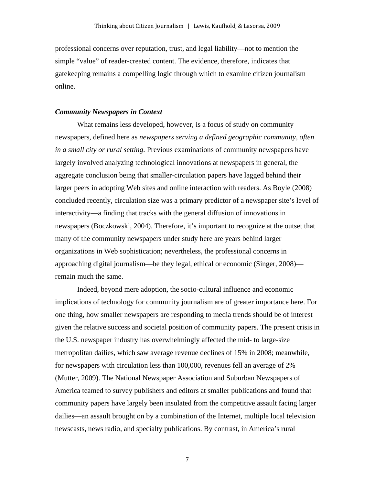professional concerns over reputation, trust, and legal liability—not to mention the simple "value" of reader-created content. The evidence, therefore, indicates that gatekeeping remains a compelling logic through which to examine citizen journalism online.

### *Community Newspapers in Context*

What remains less developed, however, is a focus of study on community newspapers, defined here as *newspapers serving a defined geographic community, often in a small city or rural setting*. Previous examinations of community newspapers have largely involved analyzing technological innovations at newspapers in general, the aggregate conclusion being that smaller-circulation papers have lagged behind their larger peers in adopting Web sites and online interaction with readers. As Boyle (2008) concluded recently, circulation size was a primary predictor of a newspaper site's level of interactivity—a finding that tracks with the general diffusion of innovations in newspapers (Boczkowski, 2004). Therefore, it's important to recognize at the outset that many of the community newspapers under study here are years behind larger organizations in Web sophistication; nevertheless, the professional concerns in approaching digital journalism—be they legal, ethical or economic (Singer, 2008) remain much the same.

Indeed, beyond mere adoption, the socio-cultural influence and economic implications of technology for community journalism are of greater importance here. For one thing, how smaller newspapers are responding to media trends should be of interest given the relative success and societal position of community papers. The present crisis in the U.S. newspaper industry has overwhelmingly affected the mid- to large-size metropolitan dailies, which saw average revenue declines of 15% in 2008; meanwhile, for newspapers with circulation less than 100,000, revenues fell an average of 2% (Mutter, 2009). The National Newspaper Association and Suburban Newspapers of America teamed to survey publishers and editors at smaller publications and found that community papers have largely been insulated from the competitive assault facing larger dailies—an assault brought on by a combination of the Internet, multiple local television newscasts, news radio, and specialty publications. By contrast, in America's rural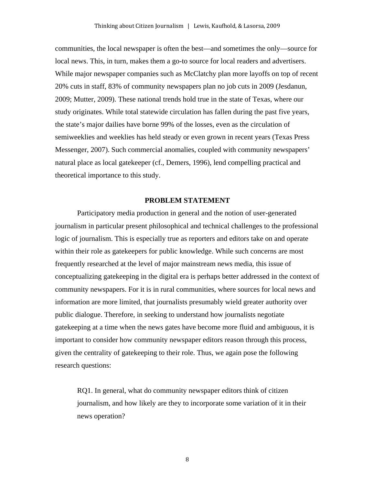communities, the local newspaper is often the best—and sometimes the only—source for local news. This, in turn, makes them a go-to source for local readers and advertisers. While major newspaper companies such as McClatchy plan more layoffs on top of recent 20% cuts in staff, 83% of community newspapers plan no job cuts in 2009 (Jesdanun, 2009; Mutter, 2009). These national trends hold true in the state of Texas, where our study originates. While total statewide circulation has fallen during the past five years, the state's major dailies have borne 99% of the losses, even as the circulation of semiweeklies and weeklies has held steady or even grown in recent years (Texas Press Messenger, 2007). Such commercial anomalies, coupled with community newspapers' natural place as local gatekeeper (cf., Demers, 1996), lend compelling practical and theoretical importance to this study.

## **PROBLEM STATEMENT**

Participatory media production in general and the notion of user-generated journalism in particular present philosophical and technical challenges to the professional logic of journalism. This is especially true as reporters and editors take on and operate within their role as gatekeepers for public knowledge. While such concerns are most frequently researched at the level of major mainstream news media, this issue of conceptualizing gatekeeping in the digital era is perhaps better addressed in the context of community newspapers. For it is in rural communities, where sources for local news and information are more limited, that journalists presumably wield greater authority over public dialogue. Therefore, in seeking to understand how journalists negotiate gatekeeping at a time when the news gates have become more fluid and ambiguous, it is important to consider how community newspaper editors reason through this process, given the centrality of gatekeeping to their role. Thus, we again pose the following research questions:

RQ1. In general, what do community newspaper editors think of citizen journalism, and how likely are they to incorporate some variation of it in their news operation?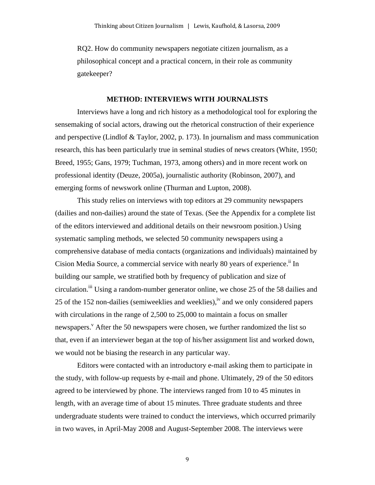RQ2. How do community newspapers negotiate citizen journalism, as a philosophical concept and a practical concern, in their role as community gatekeeper?

### **METHOD: INTERVIEWS WITH JOURNALISTS**

Interviews have a long and rich history as a methodological tool for exploring the sensemaking of social actors, drawing out the rhetorical construction of their experience and perspective (Lindlof & Taylor, 2002, p. 173). In journalism and mass communication research, this has been particularly true in seminal studies of news creators (White, 1950; Breed, 1955; Gans, 1979; Tuchman, 1973, among others) and in more recent work on professional identity (Deuze, 2005a), journalistic authority (Robinson, 2007), and emerging forms of newswork online (Thurman and Lupton, 2008).

This study relies on interviews with top editors at 29 community newspapers (dailies and non-dailies) around the state of Texas. (See the Appendix for a complete list of the editors interviewed and additional details on their newsroom position.) Using systematic sampling methods, we selected 50 community newspapers using a comprehensive database of media contacts (organizations and individuals) maintained by Cision Media Source, a commercial service with nearly 80 years of experience.<sup>ii</sup> In building our sample, we stratified both by frequency of publication and size of circulation.<sup>iii</sup> Using a random-number generator online, we chose 25 of the 58 dailies and 25 of the 152 non-dailies (semiweeklies and weeklies),<sup>iv</sup> and we only considered papers with circulations in the range of 2,500 to 25,000 to maintain a focus on smaller newspapers. After the 50 newspapers were chosen, we further randomized the list so that, even if an interviewer began at the top of his/her assignment list and worked down, we would not be biasing the research in any particular way.

Editors were contacted with an introductory e-mail asking them to participate in the study, with follow-up requests by e-mail and phone. Ultimately, 29 of the 50 editors agreed to be interviewed by phone. The interviews ranged from 10 to 45 minutes in length, with an average time of about 15 minutes. Three graduate students and three undergraduate students were trained to conduct the interviews, which occurred primarily in two waves, in April-May 2008 and August-September 2008. The interviews were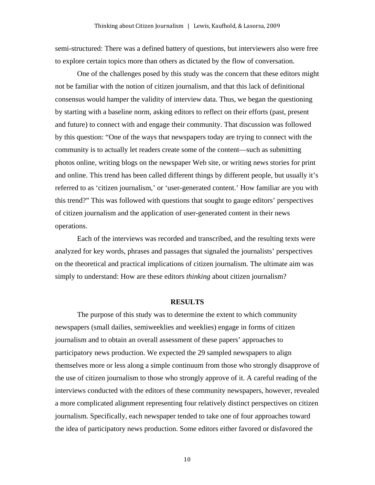semi-structured: There was a defined battery of questions, but interviewers also were free to explore certain topics more than others as dictated by the flow of conversation.

One of the challenges posed by this study was the concern that these editors might not be familiar with the notion of citizen journalism, and that this lack of definitional consensus would hamper the validity of interview data. Thus, we began the questioning by starting with a baseline norm, asking editors to reflect on their efforts (past, present and future) to connect with and engage their community. That discussion was followed by this question: "One of the ways that newspapers today are trying to connect with the community is to actually let readers create some of the content—such as submitting photos online, writing blogs on the newspaper Web site, or writing news stories for print and online. This trend has been called different things by different people, but usually it's referred to as 'citizen journalism,' or 'user-generated content.' How familiar are you with this trend?" This was followed with questions that sought to gauge editors' perspectives of citizen journalism and the application of user-generated content in their news operations.

Each of the interviews was recorded and transcribed, and the resulting texts were analyzed for key words, phrases and passages that signaled the journalists' perspectives on the theoretical and practical implications of citizen journalism. The ultimate aim was simply to understand: How are these editors *thinking* about citizen journalism?

#### **RESULTS**

 The purpose of this study was to determine the extent to which community newspapers (small dailies, semiweeklies and weeklies) engage in forms of citizen journalism and to obtain an overall assessment of these papers' approaches to participatory news production. We expected the 29 sampled newspapers to align themselves more or less along a simple continuum from those who strongly disapprove of the use of citizen journalism to those who strongly approve of it. A careful reading of the interviews conducted with the editors of these community newspapers, however, revealed a more complicated alignment representing four relatively distinct perspectives on citizen journalism. Specifically, each newspaper tended to take one of four approaches toward the idea of participatory news production. Some editors either favored or disfavored the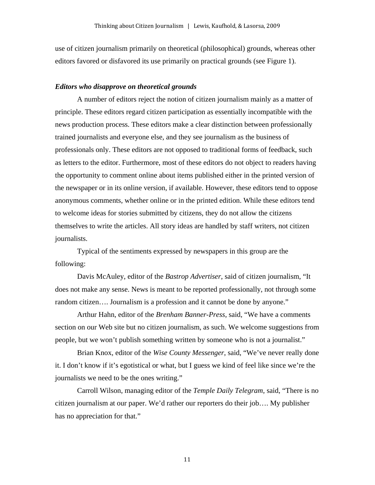use of citizen journalism primarily on theoretical (philosophical) grounds, whereas other editors favored or disfavored its use primarily on practical grounds (see Figure 1).

### *Editors who disapprove on theoretical grounds*

 A number of editors reject the notion of citizen journalism mainly as a matter of principle. These editors regard citizen participation as essentially incompatible with the news production process. These editors make a clear distinction between professionally trained journalists and everyone else, and they see journalism as the business of professionals only. These editors are not opposed to traditional forms of feedback, such as letters to the editor. Furthermore, most of these editors do not object to readers having the opportunity to comment online about items published either in the printed version of the newspaper or in its online version, if available. However, these editors tend to oppose anonymous comments, whether online or in the printed edition. While these editors tend to welcome ideas for stories submitted by citizens, they do not allow the citizens themselves to write the articles. All story ideas are handled by staff writers, not citizen journalists.

 Typical of the sentiments expressed by newspapers in this group are the following:

 Davis McAuley, editor of the *Bastrop Advertiser*, said of citizen journalism, "It does not make any sense. News is meant to be reported professionally, not through some random citizen…. Journalism is a profession and it cannot be done by anyone."

 Arthur Hahn, editor of the *Brenham Banner-Press*, said, "We have a comments section on our Web site but no citizen journalism, as such. We welcome suggestions from people, but we won't publish something written by someone who is not a journalist."

 Brian Knox, editor of the *Wise County Messenger*, said, "We've never really done it. I don't know if it's egotistical or what, but I guess we kind of feel like since we're the journalists we need to be the ones writing."

 Carroll Wilson, managing editor of the *Temple Daily Telegram*, said, "There is no citizen journalism at our paper. We'd rather our reporters do their job…. My publisher has no appreciation for that."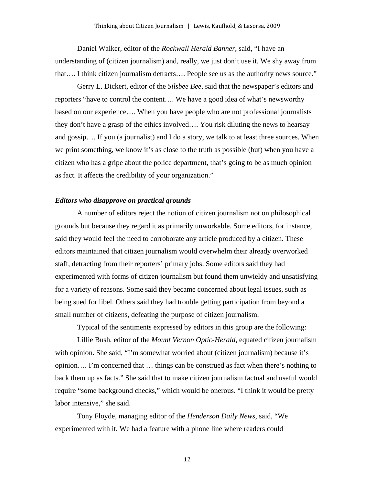Daniel Walker, editor of the *Rockwall Herald Banner*, said, "I have an understanding of (citizen journalism) and, really, we just don't use it. We shy away from that…. I think citizen journalism detracts…. People see us as the authority news source."

 Gerry L. Dickert, editor of the *Silsbee Bee*, said that the newspaper's editors and reporters "have to control the content…. We have a good idea of what's newsworthy based on our experience…. When you have people who are not professional journalists they don't have a grasp of the ethics involved…. You risk diluting the news to hearsay and gossip…. If you (a journalist) and I do a story, we talk to at least three sources. When we print something, we know it's as close to the truth as possible (but) when you have a citizen who has a gripe about the police department, that's going to be as much opinion as fact. It affects the credibility of your organization."

## *Editors who disapprove on practical grounds*

 A number of editors reject the notion of citizen journalism not on philosophical grounds but because they regard it as primarily unworkable. Some editors, for instance, said they would feel the need to corroborate any article produced by a citizen. These editors maintained that citizen journalism would overwhelm their already overworked staff, detracting from their reporters' primary jobs. Some editors said they had experimented with forms of citizen journalism but found them unwieldy and unsatisfying for a variety of reasons. Some said they became concerned about legal issues, such as being sued for libel. Others said they had trouble getting participation from beyond a small number of citizens, defeating the purpose of citizen journalism.

Typical of the sentiments expressed by editors in this group are the following:

 Lillie Bush, editor of the *Mount Vernon Optic-Herald*, equated citizen journalism with opinion. She said, "I'm somewhat worried about (citizen journalism) because it's opinion…. I'm concerned that … things can be construed as fact when there's nothing to back them up as facts." She said that to make citizen journalism factual and useful would require "some background checks," which would be onerous. "I think it would be pretty labor intensive," she said.

 Tony Floyde, managing editor of the *Henderson Daily News*, said, "We experimented with it. We had a feature with a phone line where readers could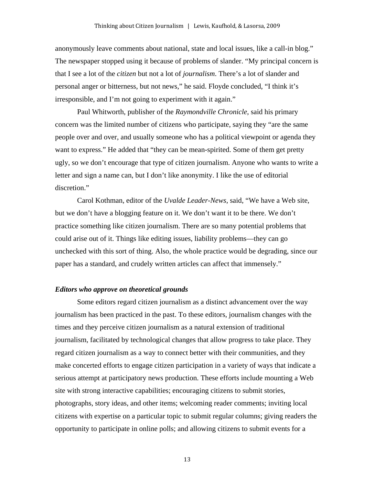anonymously leave comments about national, state and local issues, like a call-in blog." The newspaper stopped using it because of problems of slander. "My principal concern is that I see a lot of the *citizen* but not a lot of *journalism*. There's a lot of slander and personal anger or bitterness, but not news," he said. Floyde concluded, "I think it's irresponsible, and I'm not going to experiment with it again."

 Paul Whitworth, publisher of the *Raymondville Chronicle*, said his primary concern was the limited number of citizens who participate, saying they "are the same people over and over, and usually someone who has a political viewpoint or agenda they want to express." He added that "they can be mean-spirited. Some of them get pretty ugly, so we don't encourage that type of citizen journalism. Anyone who wants to write a letter and sign a name can, but I don't like anonymity. I like the use of editorial discretion."

 Carol Kothman, editor of the *Uvalde Leader-News*, said, "We have a Web site, but we don't have a blogging feature on it. We don't want it to be there. We don't practice something like citizen journalism. There are so many potential problems that could arise out of it. Things like editing issues, liability problems—they can go unchecked with this sort of thing. Also, the whole practice would be degrading, since our paper has a standard, and crudely written articles can affect that immensely."

### *Editors who approve on theoretical grounds*

 Some editors regard citizen journalism as a distinct advancement over the way journalism has been practiced in the past. To these editors, journalism changes with the times and they perceive citizen journalism as a natural extension of traditional journalism, facilitated by technological changes that allow progress to take place. They regard citizen journalism as a way to connect better with their communities, and they make concerted efforts to engage citizen participation in a variety of ways that indicate a serious attempt at participatory news production. These efforts include mounting a Web site with strong interactive capabilities; encouraging citizens to submit stories, photographs, story ideas, and other items; welcoming reader comments; inviting local citizens with expertise on a particular topic to submit regular columns; giving readers the opportunity to participate in online polls; and allowing citizens to submit events for a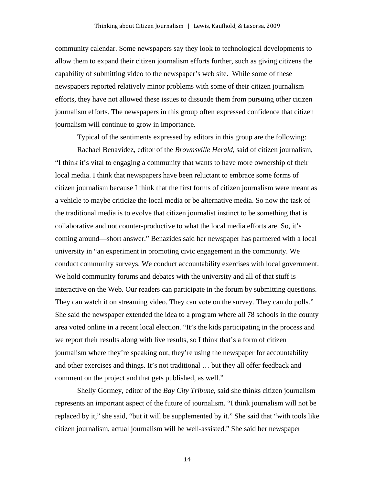community calendar. Some newspapers say they look to technological developments to allow them to expand their citizen journalism efforts further, such as giving citizens the capability of submitting video to the newspaper's web site. While some of these newspapers reported relatively minor problems with some of their citizen journalism efforts, they have not allowed these issues to dissuade them from pursuing other citizen journalism efforts. The newspapers in this group often expressed confidence that citizen journalism will continue to grow in importance.

Typical of the sentiments expressed by editors in this group are the following:

 Rachael Benavidez, editor of the *Brownsville Herald*, said of citizen journalism, "I think it's vital to engaging a community that wants to have more ownership of their local media. I think that newspapers have been reluctant to embrace some forms of citizen journalism because I think that the first forms of citizen journalism were meant as a vehicle to maybe criticize the local media or be alternative media. So now the task of the traditional media is to evolve that citizen journalist instinct to be something that is collaborative and not counter-productive to what the local media efforts are. So, it's coming around—short answer." Benazides said her newspaper has partnered with a local university in "an experiment in promoting civic engagement in the community. We conduct community surveys. We conduct accountability exercises with local government. We hold community forums and debates with the university and all of that stuff is interactive on the Web. Our readers can participate in the forum by submitting questions. They can watch it on streaming video. They can vote on the survey. They can do polls." She said the newspaper extended the idea to a program where all 78 schools in the county area voted online in a recent local election. "It's the kids participating in the process and we report their results along with live results, so I think that's a form of citizen journalism where they're speaking out, they're using the newspaper for accountability and other exercises and things. It's not traditional … but they all offer feedback and comment on the project and that gets published, as well."

 Shelly Gormey, editor of the *Bay City Tribune*, said she thinks citizen journalism represents an important aspect of the future of journalism. "I think journalism will not be replaced by it," she said, "but it will be supplemented by it." She said that "with tools like citizen journalism, actual journalism will be well-assisted." She said her newspaper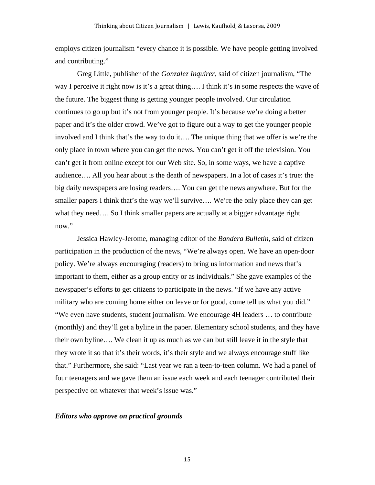employs citizen journalism "every chance it is possible. We have people getting involved and contributing."

 Greg Little, publisher of the *Gonzalez Inquirer*, said of citizen journalism, "The way I perceive it right now is it's a great thing…. I think it's in some respects the wave of the future. The biggest thing is getting younger people involved. Our circulation continues to go up but it's not from younger people. It's because we're doing a better paper and it's the older crowd. We've got to figure out a way to get the younger people involved and I think that's the way to do it…. The unique thing that we offer is we're the only place in town where you can get the news. You can't get it off the television. You can't get it from online except for our Web site. So, in some ways, we have a captive audience…. All you hear about is the death of newspapers. In a lot of cases it's true: the big daily newspapers are losing readers…. You can get the news anywhere. But for the smaller papers I think that's the way we'll survive…. We're the only place they can get what they need.... So I think smaller papers are actually at a bigger advantage right now."

 Jessica Hawley-Jerome, managing editor of the *Bandera Bulletin*, said of citizen participation in the production of the news, "We're always open. We have an open-door policy. We're always encouraging (readers) to bring us information and news that's important to them, either as a group entity or as individuals." She gave examples of the newspaper's efforts to get citizens to participate in the news. "If we have any active military who are coming home either on leave or for good, come tell us what you did." "We even have students, student journalism. We encourage 4H leaders … to contribute (monthly) and they'll get a byline in the paper. Elementary school students, and they have their own byline…. We clean it up as much as we can but still leave it in the style that they wrote it so that it's their words, it's their style and we always encourage stuff like that." Furthermore, she said: "Last year we ran a teen-to-teen column. We had a panel of four teenagers and we gave them an issue each week and each teenager contributed their perspective on whatever that week's issue was."

### *Editors who approve on practical grounds*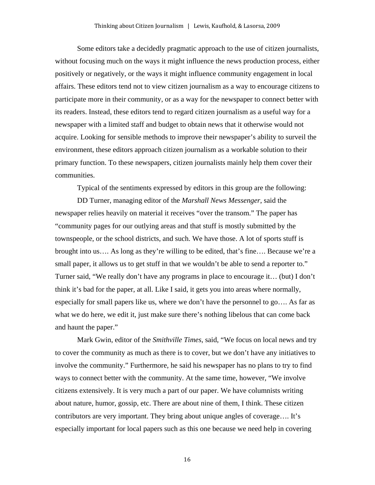Some editors take a decidedly pragmatic approach to the use of citizen journalists, without focusing much on the ways it might influence the news production process, either positively or negatively, or the ways it might influence community engagement in local affairs. These editors tend not to view citizen journalism as a way to encourage citizens to participate more in their community, or as a way for the newspaper to connect better with its readers. Instead, these editors tend to regard citizen journalism as a useful way for a newspaper with a limited staff and budget to obtain news that it otherwise would not acquire. Looking for sensible methods to improve their newspaper's ability to surveil the environment, these editors approach citizen journalism as a workable solution to their primary function. To these newspapers, citizen journalists mainly help them cover their communities.

Typical of the sentiments expressed by editors in this group are the following:

 DD Turner, managing editor of the *Marshall News Messenger*, said the newspaper relies heavily on material it receives "over the transom." The paper has "community pages for our outlying areas and that stuff is mostly submitted by the townspeople, or the school districts, and such. We have those. A lot of sports stuff is brought into us…. As long as they're willing to be edited, that's fine…. Because we're a small paper, it allows us to get stuff in that we wouldn't be able to send a reporter to." Turner said, "We really don't have any programs in place to encourage it… (but) I don't think it's bad for the paper, at all. Like I said, it gets you into areas where normally, especially for small papers like us, where we don't have the personnel to go…. As far as what we do here, we edit it, just make sure there's nothing libelous that can come back and haunt the paper."

 Mark Gwin, editor of the *Smithville Times*, said, "We focus on local news and try to cover the community as much as there is to cover, but we don't have any initiatives to involve the community." Furthermore, he said his newspaper has no plans to try to find ways to connect better with the community. At the same time, however, "We involve citizens extensively. It is very much a part of our paper. We have columnists writing about nature, humor, gossip, etc. There are about nine of them, I think. These citizen contributors are very important. They bring about unique angles of coverage…. It's especially important for local papers such as this one because we need help in covering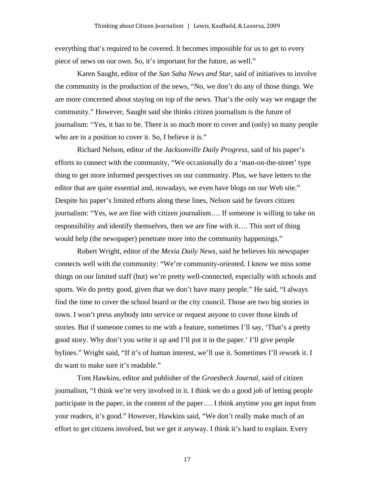everything that's required to be covered. It becomes impossible for us to get to every piece of news on our own. So, it's important for the future, as well."

 Karen Saught, editor of the *San Saba News and Star*, said of initiatives to involve the community in the production of the news, "No, we don't do any of those things. We are more concerned about staying on top of the news. That's the only way we engage the community." However, Saught said she thinks citizen journalism is the future of journalism: "Yes, it has to be. There is so much more to cover and (only) so many people who are in a position to cover it. So, I believe it is."

 Richard Nelson, editor of the *Jacksonville Daily Progress*, said of his paper's efforts to connect with the community, "We occasionally do a 'man-on-the-street' type thing to get more informed perspectives on our community. Plus, we have letters to the editor that are quite essential and, nowadays, we even have blogs on our Web site." Despite his paper's limited efforts along these lines, Nelson said he favors citizen journalism: "Yes, we are fine with citizen journalism…. If someone is willing to take on responsibility and identify themselves, then we are fine with it…. This sort of thing would help (the newspaper) penetrate more into the community happenings."

 Robert Wright, editor of the *Mexia Daily News*, said he believes his newspaper connects well with the community: "We're community-oriented. I know we miss some things on our limited staff (but) we're pretty well-connected, especially with schools and sports. We do pretty good, given that we don't have many people." He said, "I always find the time to cover the school board or the city council. Those are two big stories in town. I won't press anybody into service or request anyone to cover those kinds of stories. But if someone comes to me with a feature, sometimes I'll say, 'That's a pretty good story. Why don't you write it up and I'll put it in the paper.' I'll give people bylines." Wright said, "If it's of human interest, we'll use it. Sometimes I'll rework it. I do want to make sure it's readable."

 Tom Hawkins, editor and publisher of the *Groesbeck Journal*, said of citizen journalism, "I think we're very involved in it. I think we do a good job of letting people participate in the paper, in the content of the paper…. I think anytime you get input from your readers, it's good." However, Hawkins said, "We don't really make much of an effort to get citizens involved, but we get it anyway. I think it's hard to explain. Every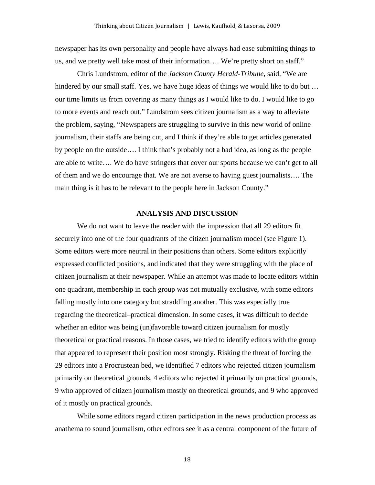newspaper has its own personality and people have always had ease submitting things to us, and we pretty well take most of their information…. We're pretty short on staff."

 Chris Lundstrom, editor of the *Jackson County Herald-Tribune*, said, "We are hindered by our small staff. Yes, we have huge ideas of things we would like to do but … our time limits us from covering as many things as I would like to do. I would like to go to more events and reach out." Lundstrom sees citizen journalism as a way to alleviate the problem, saying, "Newspapers are struggling to survive in this new world of online journalism, their staffs are being cut, and I think if they're able to get articles generated by people on the outside…. I think that's probably not a bad idea, as long as the people are able to write…. We do have stringers that cover our sports because we can't get to all of them and we do encourage that. We are not averse to having guest journalists…. The main thing is it has to be relevant to the people here in Jackson County."

# **ANALYSIS AND DISCUSSION**

We do not want to leave the reader with the impression that all 29 editors fit securely into one of the four quadrants of the citizen journalism model (see Figure 1). Some editors were more neutral in their positions than others. Some editors explicitly expressed conflicted positions, and indicated that they were struggling with the place of citizen journalism at their newspaper. While an attempt was made to locate editors within one quadrant, membership in each group was not mutually exclusive, with some editors falling mostly into one category but straddling another. This was especially true regarding the theoretical–practical dimension. In some cases, it was difficult to decide whether an editor was being (un)favorable toward citizen journalism for mostly theoretical or practical reasons. In those cases, we tried to identify editors with the group that appeared to represent their position most strongly. Risking the threat of forcing the 29 editors into a Procrustean bed, we identified 7 editors who rejected citizen journalism primarily on theoretical grounds, 4 editors who rejected it primarily on practical grounds, 9 who approved of citizen journalism mostly on theoretical grounds, and 9 who approved of it mostly on practical grounds.

While some editors regard citizen participation in the news production process as anathema to sound journalism, other editors see it as a central component of the future of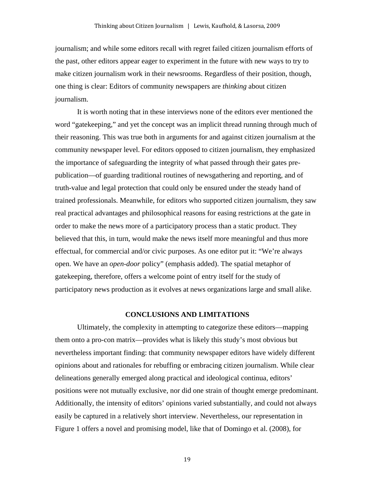journalism; and while some editors recall with regret failed citizen journalism efforts of the past, other editors appear eager to experiment in the future with new ways to try to make citizen journalism work in their newsrooms. Regardless of their position, though, one thing is clear: Editors of community newspapers are *thinking* about citizen journalism.

It is worth noting that in these interviews none of the editors ever mentioned the word "gatekeeping," and yet the concept was an implicit thread running through much of their reasoning. This was true both in arguments for and against citizen journalism at the community newspaper level. For editors opposed to citizen journalism, they emphasized the importance of safeguarding the integrity of what passed through their gates prepublication—of guarding traditional routines of newsgathering and reporting, and of truth-value and legal protection that could only be ensured under the steady hand of trained professionals. Meanwhile, for editors who supported citizen journalism, they saw real practical advantages and philosophical reasons for easing restrictions at the gate in order to make the news more of a participatory process than a static product. They believed that this, in turn, would make the news itself more meaningful and thus more effectual, for commercial and/or civic purposes. As one editor put it: "We're always open. We have an *open-door* policy" (emphasis added). The spatial metaphor of gatekeeping, therefore, offers a welcome point of entry itself for the study of participatory news production as it evolves at news organizations large and small alike.

### **CONCLUSIONS AND LIMITATIONS**

Ultimately, the complexity in attempting to categorize these editors—mapping them onto a pro-con matrix—provides what is likely this study's most obvious but nevertheless important finding: that community newspaper editors have widely different opinions about and rationales for rebuffing or embracing citizen journalism. While clear delineations generally emerged along practical and ideological continua, editors' positions were not mutually exclusive, nor did one strain of thought emerge predominant. Additionally, the intensity of editors' opinions varied substantially, and could not always easily be captured in a relatively short interview. Nevertheless, our representation in Figure 1 offers a novel and promising model, like that of Domingo et al. (2008), for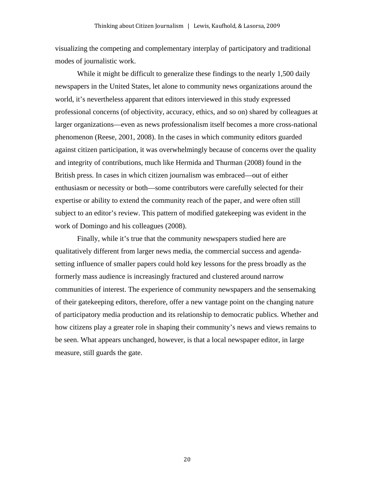visualizing the competing and complementary interplay of participatory and traditional modes of journalistic work.

 While it might be difficult to generalize these findings to the nearly 1,500 daily newspapers in the United States, let alone to community news organizations around the world, it's nevertheless apparent that editors interviewed in this study expressed professional concerns (of objectivity, accuracy, ethics, and so on) shared by colleagues at larger organizations—even as news professionalism itself becomes a more cross-national phenomenon (Reese, 2001, 2008). In the cases in which community editors guarded against citizen participation, it was overwhelmingly because of concerns over the quality and integrity of contributions, much like Hermida and Thurman (2008) found in the British press. In cases in which citizen journalism was embraced—out of either enthusiasm or necessity or both—some contributors were carefully selected for their expertise or ability to extend the community reach of the paper, and were often still subject to an editor's review. This pattern of modified gatekeeping was evident in the work of Domingo and his colleagues (2008).

 Finally, while it's true that the community newspapers studied here are qualitatively different from larger news media, the commercial success and agendasetting influence of smaller papers could hold key lessons for the press broadly as the formerly mass audience is increasingly fractured and clustered around narrow communities of interest. The experience of community newspapers and the sensemaking of their gatekeeping editors, therefore, offer a new vantage point on the changing nature of participatory media production and its relationship to democratic publics. Whether and how citizens play a greater role in shaping their community's news and views remains to be seen. What appears unchanged, however, is that a local newspaper editor, in large measure, still guards the gate.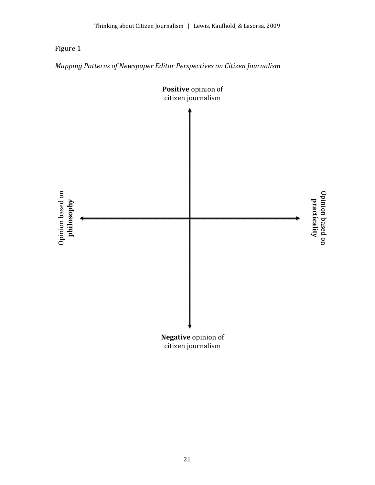Figure 1

*Mapping Patterns of Newspaper Editor Perspectives on Citizen Journalism*

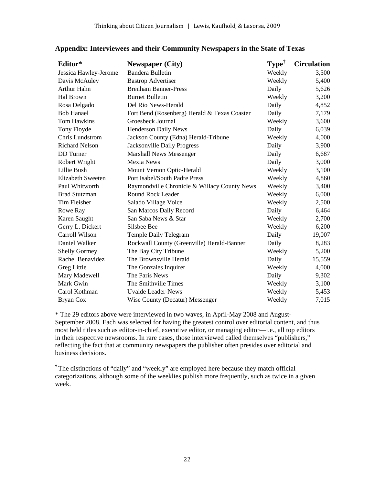| Editor*                  | <b>Newspaper (City)</b>                      | $\mathbf{Type}^{\intercal}$ | <b>Circulation</b> |
|--------------------------|----------------------------------------------|-----------------------------|--------------------|
| Jessica Hawley-Jerome    | <b>Bandera Bulletin</b>                      | Weekly                      | 3,500              |
| Davis McAuley            | <b>Bastrop Advertiser</b>                    | Weekly                      | 5,400              |
| <b>Arthur Hahn</b>       | <b>Brenham Banner-Press</b>                  | Daily                       | 5,626              |
| Hal Brown                | <b>Burnet Bulletin</b>                       | Weekly                      | 3,200              |
| Rosa Delgado             | Del Rio News-Herald                          | Daily                       | 4,852              |
| <b>Bob Hanael</b>        | Fort Bend (Rosenberg) Herald & Texas Coaster | Daily                       | 7,179              |
| <b>Tom Hawkins</b>       | Groesbeck Journal                            | Weekly                      | 3,600              |
| Tony Floyde              | <b>Henderson Daily News</b>                  | Daily                       | 6,039              |
| Chris Lundstrom          | Jackson County (Edna) Herald-Tribune         | Weekly                      | 4,000              |
| <b>Richard Nelson</b>    | <b>Jacksonville Daily Progress</b>           | Daily                       | 3,900              |
| <b>DD</b> Turner         | <b>Marshall News Messenger</b>               | Daily                       | 6,687              |
| Robert Wright            | Mexia News                                   | Daily                       | 3,000              |
| Lillie Bush              | Mount Vernon Optic-Herald                    | Weekly                      | 3,100              |
| <b>Elizabeth Sweeten</b> | Port Isabel/South Padre Press                | Weekly                      | 4,860              |
| Paul Whitworth           | Raymondville Chronicle & Willacy County News | Weekly                      | 3,400              |
| <b>Brad Stutzman</b>     | Round Rock Leader                            | Weekly                      | 6,000              |
| <b>Tim Fleisher</b>      | Salado Village Voice                         | Weekly                      | 2,500              |
| Rowe Ray                 | San Marcos Daily Record                      | Daily                       | 6,464              |
| Karen Saught             | San Saba News & Star                         | Weekly                      | 2,700              |
| Gerry L. Dickert         | Silsbee Bee                                  | Weekly                      | 6,200              |
| Carroll Wilson           | Temple Daily Telegram                        | Daily                       | 19,007             |
| Daniel Walker            | Rockwall County (Greenville) Herald-Banner   | Daily                       | 8,283              |
| <b>Shelly Gormey</b>     | The Bay City Tribune                         | Weekly                      | 5,200              |
| Rachel Benavidez         | The Brownsville Herald                       | Daily                       | 15,559             |
| Greg Little              | The Gonzales Inquirer                        | Weekly                      | 4,000              |
| Mary Madewell            | The Paris News                               | Daily                       | 9,302              |
| Mark Gwin                | The Smithville Times                         | Weekly                      | 3,100              |
| Carol Kothman            | <b>Uvalde Leader-News</b>                    | Weekly                      | 5,453              |
| Bryan Cox                | <b>Wise County (Decatur) Messenger</b>       | Weekly                      | 7,015              |

# **Appendix: Interviewees and their Community Newspapers in the State of Texas**

\* The 29 editors above were interviewed in two waves, in April-May 2008 and August-September 2008. Each was selected for having the greatest control over editorial content, and thus most held titles such as editor-in-chief, executive editor, or managing editor—i.e., all top editors in their respective newsrooms. In rare cases, those interviewed called themselves "publishers," reflecting the fact that at community newspapers the publisher often presides over editorial and business decisions.

**†** The distinctions of "daily" and "weekly" are employed here because they match official categorizations, although some of the weeklies publish more frequently, such as twice in a given week.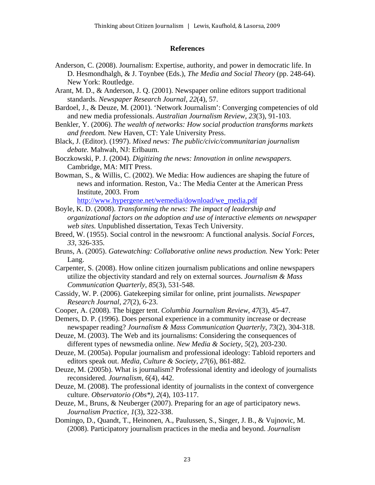# **References**

- Anderson, C. (2008). Journalism: Expertise, authority, and power in democratic life. In D. Hesmondhalgh, & J. Toynbee (Eds.), *The Media and Social Theory* (pp. 248-64). New York: Routledge.
- Arant, M. D., & Anderson, J. Q. (2001). Newspaper online editors support traditional standards. *Newspaper Research Journal*, *22*(4), 57.
- Bardoel, J., & Deuze, M. (2001). 'Network Journalism': Converging competencies of old and new media professionals. *Australian Journalism Review*, *23*(3), 91-103.
- Benkler, Y. (2006). *The wealth of networks: How social production transforms markets and freedom.* New Haven, CT: Yale University Press.
- Black, J. (Editor). (1997). *Mixed news: The public/civic/communitarian journalism debate.* Mahwah, NJ: Erlbaum.
- Boczkowski, P. J. (2004). *Digitizing the news: Innovation in online newspapers.*  Cambridge, MA: MIT Press.
- Bowman, S., & Willis, C. (2002). We Media: How audiences are shaping the future of news and information. Reston, Va.: The Media Center at the American Press Institute, 2003. From

http://www.hypergene.net/wemedia/download/we\_media.pdf

- Boyle, K. D. (2008). *Transforming the news: The impact of leadership and organizational factors on the adoption and use of interactive elements on newspaper web sites.* Unpublished dissertation, Texas Tech University.
- Breed, W. (1955). Social control in the newsroom: A functional analysis. *Social Forces*, *33*, 326-335.
- Bruns, A. (2005). *Gatewatching: Collaborative online news production.* New York: Peter Lang.
- Carpenter, S. (2008). How online citizen journalism publications and online newspapers utilize the objectivity standard and rely on external sources. *Journalism & Mass Communication Quarterly*, *85*(3), 531-548.
- Cassidy, W. P. (2006). Gatekeeping similar for online, print journalists. *Newspaper Research Journal*, *27*(2), 6-23.
- Cooper, A. (2008). The bigger tent. *Columbia Journalism Review*, *47*(3), 45-47.
- Demers, D. P. (1996). Does personal experience in a community increase or decrease newspaper reading? *Journalism & Mass Communication Quarterly*, *73*(2), 304-318.
- Deuze, M. (2003). The Web and its journalisms: Considering the consequences of different types of newsmedia online. *New Media & Society*, *5*(2), 203-230.
- Deuze, M. (2005a). Popular journalism and professional ideology: Tabloid reporters and editors speak out. *Media, Culture & Society*, *27*(6), 861-882.
- Deuze, M. (2005b). What is journalism? Professional identity and ideology of journalists reconsidered. *Journalism*, *6*(4), 442.
- Deuze, M. (2008). The professional identity of journalists in the context of convergence culture. *Observatorio (Obs\*)*, *2*(4), 103-117.
- Deuze, M., Bruns, & Neuberger (2007). Preparing for an age of participatory news. *Journalism Practice*, *1*(3), 322-338.
- Domingo, D., Quandt, T., Heinonen, A., Paulussen, S., Singer, J. B., & Vujnovic, M. (2008). Participatory journalism practices in the media and beyond. *Journalism*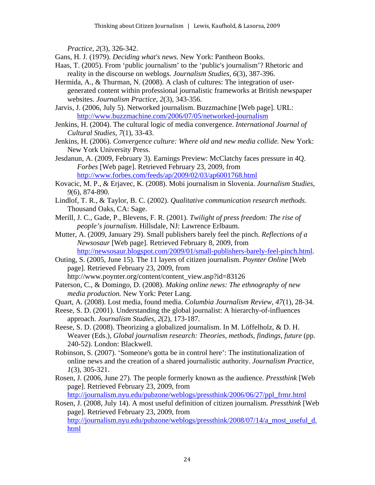*Practice*, *2*(3), 326-342.

Gans, H. J. (1979). *Deciding what's news.* New York: Pantheon Books.

- Haas, T. (2005). From 'public journalism' to the 'public's journalism'? Rhetoric and reality in the discourse on weblogs. *Journalism Studies*, *6*(3), 387-396.
- Hermida, A., & Thurman, N. (2008). A clash of cultures: The integration of usergenerated content within professional journalistic frameworks at British newspaper websites. *Journalism Practice*, *2*(3), 343-356.
- Jarvis, J. (2006, July 5). Networked journalism. Buzzmachine [Web page]. URL: http://www.buzzmachine.com/2006/07/05/networked-journalism
- Jenkins, H. (2004). The cultural logic of media convergence. *International Journal of Cultural Studies*, *7*(1), 33-43.
- Jenkins, H. (2006). *Convergence culture: Where old and new media collide.* New York: New York University Press.
- Jesdanun, A. (2009, February 3). Earnings Preview: McClatchy faces pressure in 4Q. *Forbes* [Web page]. Retrieved February 23, 2009, from http://www.forbes.com/feeds/ap/2009/02/03/ap6001768.html
- Kovacic, M. P., & Erjavec, K. (2008). Mobi journalism in Slovenia. *Journalism Studies*, *9*(6), 874-890.
- Lindlof, T. R., & Taylor, B. C. (2002). *Qualitative communication research methods.*  Thousand Oaks, CA: Sage.
- Merill, J. C., Gade, P., Blevens, F. R. (2001). *Twilight of press freedom: The rise of people's journalism*. Hillsdale, NJ: Lawrence Erlbaum.
- Mutter, A. (2009, January 29). Small publishers barely feel the pinch. *Reflections of a Newsosaur* [Web page]. Retrieved February 8, 2009, from http://newsosaur.blogspot.com/2009/01/small-publishers-barely-feel-pinch.html.

Outing, S. (2005, June 15). The 11 layers of citizen journalism. *Poynter Online* [Web page]. Retrieved February 23, 2009, from http://www.poynter.org/content/content\_view.asp?id=83126

- Paterson, C., & Domingo, D. (2008). *Making online news: The ethnography of new media production.* New York: Peter Lang.
- Quart, A. (2008). Lost media, found media. *Columbia Journalism Review*, *47*(1), 28-34.
- Reese, S. D. (2001). Understanding the global journalist: A hierarchy-of-influences approach. *Journalism Studies*, *2*(2), 173-187.
- Reese, S. D. (2008). Theorizing a globalized journalism. In M. Löffelholz, & D. H. Weaver (Eds.), *Global journalism research: Theories, methods, findings, future* (pp. 240-52). London: Blackwell.
- Robinson, S. (2007). 'Someone's gotta be in control here': The institutionalization of online news and the creation of a shared journalistic authority. *Journalism Practice*, *1*(3), 305-321.
- Rosen, J. (2006, June 27). The people formerly known as the audience. *Pressthink* [Web page]. Retrieved February 23, 2009, from

http://journalism.nyu.edu/pubzone/weblogs/pressthink/2006/06/27/ppl\_frmr.html

Rosen, J. (2008, July 14). A most useful definition of citizen journalism. *Pressthink* [Web page]. Retrieved February 23, 2009, from http://journalism.nyu.edu/pubzone/weblogs/pressthink/2008/07/14/a\_most\_useful\_d. html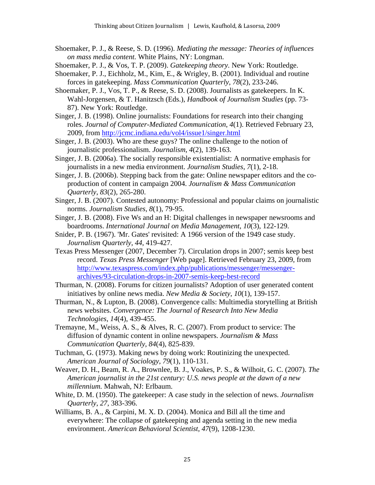- Shoemaker, P. J., & Reese, S. D. (1996). *Mediating the message: Theories of influences on mass media content.* White Plains, NY: Longman.
- Shoemaker, P. J., & Vos, T. P. (2009). *Gatekeeping theory.* New York: Routledge.
- Shoemaker, P. J., Eichholz, M., Kim, E., & Wrigley, B. (2001). Individual and routine forces in gatekeeping. *Mass Communication Quarterly*, *78*(2), 233-246.
- Shoemaker, P. J., Vos, T. P., & Reese, S. D. (2008). Journalists as gatekeepers. In K. Wahl-Jorgensen, & T. Hanitzsch (Eds.), *Handbook of Journalism Studies* (pp. 73- 87). New York: Routledge.
- Singer, J. B. (1998). Online journalists: Foundations for research into their changing roles. *Journal of Computer-Mediated Communication*, *4*(1). Retrieved February 23, 2009, from http://jcmc.indiana.edu/vol4/issue1/singer.html
- Singer, J. B. (2003). Who are these guys? The online challenge to the notion of journalistic professionalism. *Journalism*, *4*(2), 139-163.
- Singer, J. B. (2006a). The socially responsible existentialist: A normative emphasis for journalists in a new media environment. *Journalism Studies*, *7*(1), 2-18.
- Singer, J. B. (2006b). Stepping back from the gate: Online newspaper editors and the coproduction of content in campaign 2004. *Journalism & Mass Communication Quarterly*, *83*(2), 265-280.
- Singer, J. B. (2007). Contested autonomy: Professional and popular claims on journalistic norms. *Journalism Studies*, *8*(1), 79-95.
- Singer, J. B. (2008). Five Ws and an H: Digital challenges in newspaper newsrooms and boardrooms. *International Journal on Media Management*, *10*(3), 122-129.
- Snider, P. B. (1967). 'Mr. Gates' revisited: A 1966 version of the 1949 case study. *Journalism Quarterly*, *44*, 419-427.
- Texas Press Messenger (2007, December 7). Circulation drops in 2007; semis keep best record. *Texas Press Messenger* [Web page]. Retrieved February 23, 2009, from http://www.texaspress.com/index.php/publications/messenger/messengerarchives/93-circulation-drops-in-2007-semis-keep-best-record
- Thurman, N. (2008). Forums for citizen journalists? Adoption of user generated content initiatives by online news media. *New Media & Society*, *10*(1), 139-157.
- Thurman, N., & Lupton, B. (2008). Convergence calls: Multimedia storytelling at British news websites. *Convergence: The Journal of Research Into New Media Technologies*, *14*(4), 439-455.
- Tremayne, M., Weiss, A. S., & Alves, R. C. (2007). From product to service: The diffusion of dynamic content in online newspapers. *Journalism & Mass Communication Quarterly*, *84*(4), 825-839.
- Tuchman, G. (1973). Making news by doing work: Routinizing the unexpected. *American Journal of Sociology*, *79*(1), 110-131.
- Weaver, D. H., Beam, R. A., Brownlee, B. J., Voakes, P. S., & Wilhoit, G. C. (2007). *The American journalist in the 21st century: U.S. news people at the dawn of a new millennium.* Mahwah, NJ: Erlbaum.
- White, D. M. (1950). The gatekeeper: A case study in the selection of news. *Journalism Quarterly*, *27*, 383-396.
- Williams, B. A., & Carpini, M. X. D. (2004). Monica and Bill all the time and everywhere: The collapse of gatekeeping and agenda setting in the new media environment. *American Behavioral Scientist*, *47*(9), 1208-1230.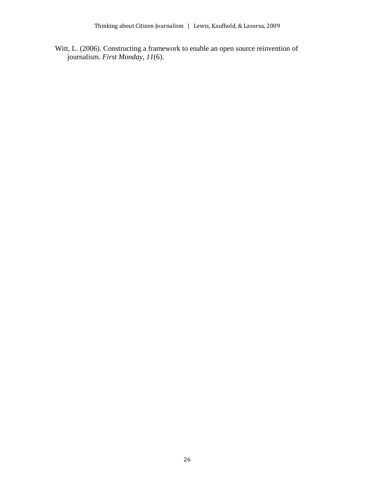Witt, L. (2006). Constructing a framework to enable an open source reinvention of journalism. *First Monday*, *11*(6).